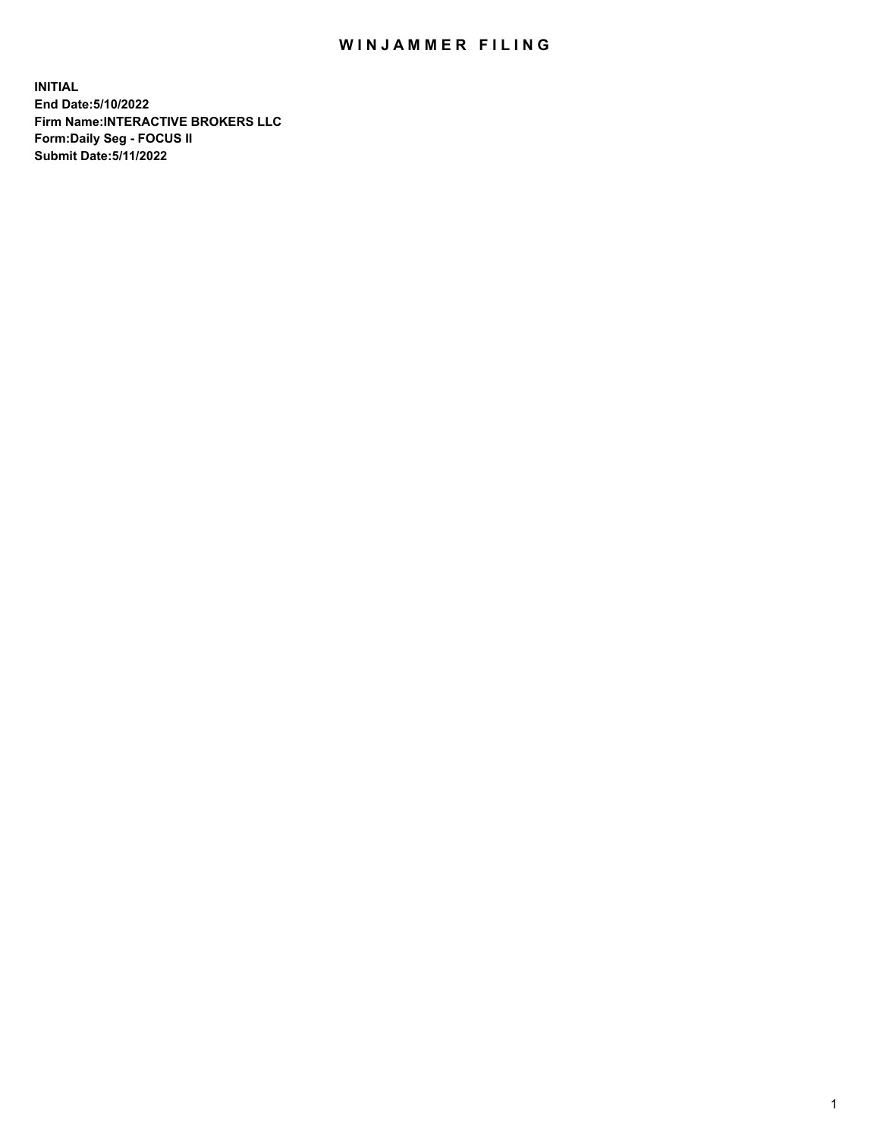## WIN JAMMER FILING

**INITIAL End Date:5/10/2022 Firm Name:INTERACTIVE BROKERS LLC Form:Daily Seg - FOCUS II Submit Date:5/11/2022**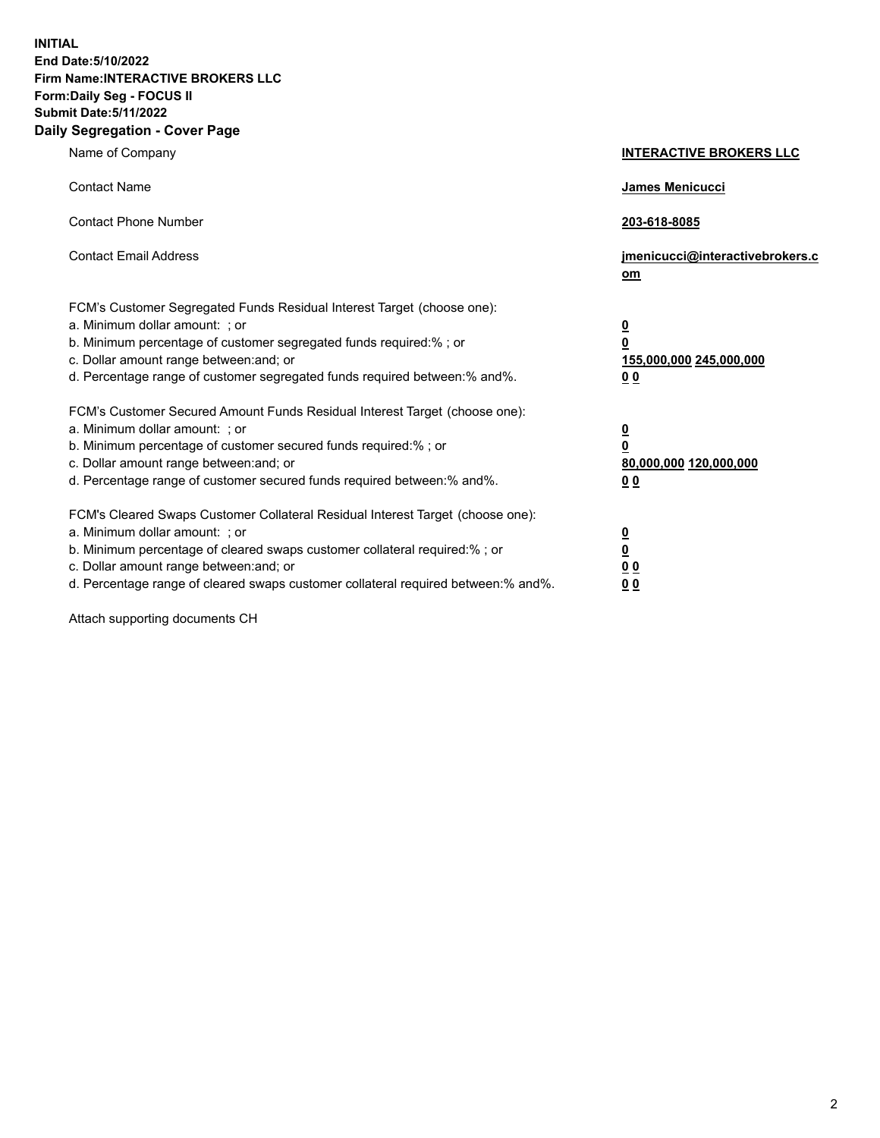**INITIAL End Date:5/10/2022 Firm Name:INTERACTIVE BROKERS LLC Form:Daily Seg - FOCUS II Submit Date:5/11/2022 Daily Segregation - Cover Page**

| Name of Company                                                                                                                                                                                                                                                                                                                | <b>INTERACTIVE BROKERS LLC</b>                                                                  |
|--------------------------------------------------------------------------------------------------------------------------------------------------------------------------------------------------------------------------------------------------------------------------------------------------------------------------------|-------------------------------------------------------------------------------------------------|
| <b>Contact Name</b>                                                                                                                                                                                                                                                                                                            | <b>James Menicucci</b>                                                                          |
| <b>Contact Phone Number</b>                                                                                                                                                                                                                                                                                                    | 203-618-8085                                                                                    |
| <b>Contact Email Address</b>                                                                                                                                                                                                                                                                                                   | jmenicucci@interactivebrokers.c<br>om                                                           |
| FCM's Customer Segregated Funds Residual Interest Target (choose one):<br>a. Minimum dollar amount: ; or<br>b. Minimum percentage of customer segregated funds required:%; or<br>c. Dollar amount range between: and; or<br>d. Percentage range of customer segregated funds required between:% and%.                          | $\overline{\mathbf{0}}$<br>$\overline{\mathbf{0}}$<br>155,000,000 245,000,000<br>0 <sub>0</sub> |
| FCM's Customer Secured Amount Funds Residual Interest Target (choose one):<br>a. Minimum dollar amount: ; or<br>b. Minimum percentage of customer secured funds required:%; or<br>c. Dollar amount range between: and; or<br>d. Percentage range of customer secured funds required between:% and%.                            | <u>0</u><br>$\overline{\mathbf{0}}$<br>80,000,000 120,000,000<br>0 <sub>0</sub>                 |
| FCM's Cleared Swaps Customer Collateral Residual Interest Target (choose one):<br>a. Minimum dollar amount: ; or<br>b. Minimum percentage of cleared swaps customer collateral required:% ; or<br>c. Dollar amount range between: and; or<br>d. Percentage range of cleared swaps customer collateral required between:% and%. | $\overline{\mathbf{0}}$<br>$\underline{\mathbf{0}}$<br>0 <sub>0</sub><br>00                     |

Attach supporting documents CH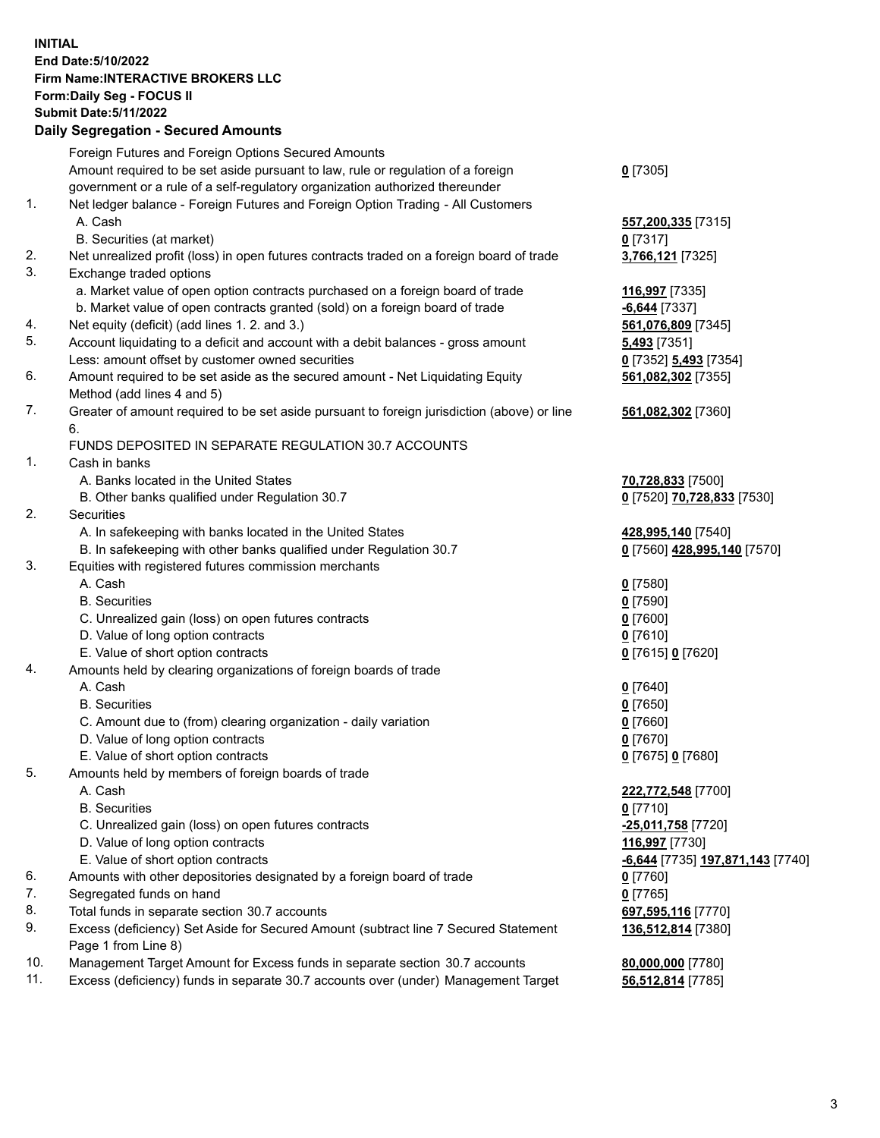**INITIAL End Date:5/10/2022 Firm Name:INTERACTIVE BROKERS LLC Form:Daily Seg - FOCUS II Submit Date:5/11/2022 Daily Segregation - Secured Amounts**

|                | Foreign Futures and Foreign Options Secured Amounts                                               |                                                |
|----------------|---------------------------------------------------------------------------------------------------|------------------------------------------------|
|                | Amount required to be set aside pursuant to law, rule or regulation of a foreign                  | $Q$ [7305]                                     |
|                | government or a rule of a self-regulatory organization authorized thereunder                      |                                                |
| $\mathbf{1}$ . | Net ledger balance - Foreign Futures and Foreign Option Trading - All Customers                   |                                                |
|                | A. Cash                                                                                           | 557,200,335 [7315]                             |
|                | B. Securities (at market)                                                                         | $0$ [7317]                                     |
| 2.             | Net unrealized profit (loss) in open futures contracts traded on a foreign board of trade         | 3,766,121 [7325]                               |
| 3.             | Exchange traded options                                                                           |                                                |
|                | a. Market value of open option contracts purchased on a foreign board of trade                    | 116,997 [7335]                                 |
|                | b. Market value of open contracts granted (sold) on a foreign board of trade                      | $-6,644$ [7337]                                |
| 4.             | Net equity (deficit) (add lines 1. 2. and 3.)                                                     | 561,076,809 [7345]                             |
| 5.             | Account liquidating to a deficit and account with a debit balances - gross amount                 | 5,493 [7351]                                   |
|                | Less: amount offset by customer owned securities                                                  | 0 [7352] 5,493 [7354]                          |
| 6.             | Amount required to be set aside as the secured amount - Net Liquidating Equity                    | 561,082,302 [7355]                             |
|                | Method (add lines 4 and 5)                                                                        |                                                |
| 7.             | Greater of amount required to be set aside pursuant to foreign jurisdiction (above) or line<br>6. | 561,082,302 [7360]                             |
|                | FUNDS DEPOSITED IN SEPARATE REGULATION 30.7 ACCOUNTS                                              |                                                |
| 1.             | Cash in banks                                                                                     |                                                |
|                | A. Banks located in the United States                                                             | 70,728,833 [7500]                              |
|                | B. Other banks qualified under Regulation 30.7                                                    | 0 [7520] 70,728,833 [7530]                     |
| 2.             | Securities                                                                                        |                                                |
|                | A. In safekeeping with banks located in the United States                                         | 428,995,140 [7540]                             |
|                | B. In safekeeping with other banks qualified under Regulation 30.7                                | 0 [7560] 428,995,140 [7570]                    |
| 3.             | Equities with registered futures commission merchants                                             |                                                |
|                | A. Cash                                                                                           | $0$ [7580]                                     |
|                | <b>B.</b> Securities                                                                              | $0$ [7590]                                     |
|                | C. Unrealized gain (loss) on open futures contracts                                               | $0$ [7600]                                     |
|                | D. Value of long option contracts                                                                 | $0$ [7610]                                     |
|                | E. Value of short option contracts                                                                | 0 [7615] 0 [7620]                              |
| 4.             | Amounts held by clearing organizations of foreign boards of trade                                 |                                                |
|                | A. Cash                                                                                           | $Q$ [7640]                                     |
|                | <b>B.</b> Securities                                                                              | $0$ [7650]                                     |
|                | C. Amount due to (from) clearing organization - daily variation                                   | $0$ [7660]                                     |
|                | D. Value of long option contracts                                                                 | $0$ [7670]                                     |
|                | E. Value of short option contracts                                                                | 0 [7675] 0 [7680]                              |
| 5.             | Amounts held by members of foreign boards of trade                                                |                                                |
|                | A. Cash                                                                                           | 222,772,548 [7700]                             |
|                | <b>B.</b> Securities                                                                              | $0$ [7710]                                     |
|                | C. Unrealized gain (loss) on open futures contracts                                               | -25,011,758 [7720]                             |
|                | D. Value of long option contracts                                                                 | 116,997 [7730]                                 |
|                | E. Value of short option contracts                                                                | <u>-6,644</u> [7735] <u>197,871,143</u> [7740] |
| 6.             | Amounts with other depositories designated by a foreign board of trade                            | $0$ [7760]                                     |
| 7.             | Segregated funds on hand                                                                          | $0$ [7765]                                     |
| 8.             | Total funds in separate section 30.7 accounts                                                     | 697,595,116 [7770]                             |
| 9.             | Excess (deficiency) Set Aside for Secured Amount (subtract line 7 Secured Statement               | 136,512,814 [7380]                             |
|                | Page 1 from Line 8)                                                                               |                                                |
| 10.            | Management Target Amount for Excess funds in separate section 30.7 accounts                       | 80,000,000 [7780]                              |
| 11.            | Excess (deficiency) funds in separate 30.7 accounts over (under) Management Target                | 56,512,814 [7785]                              |
|                |                                                                                                   |                                                |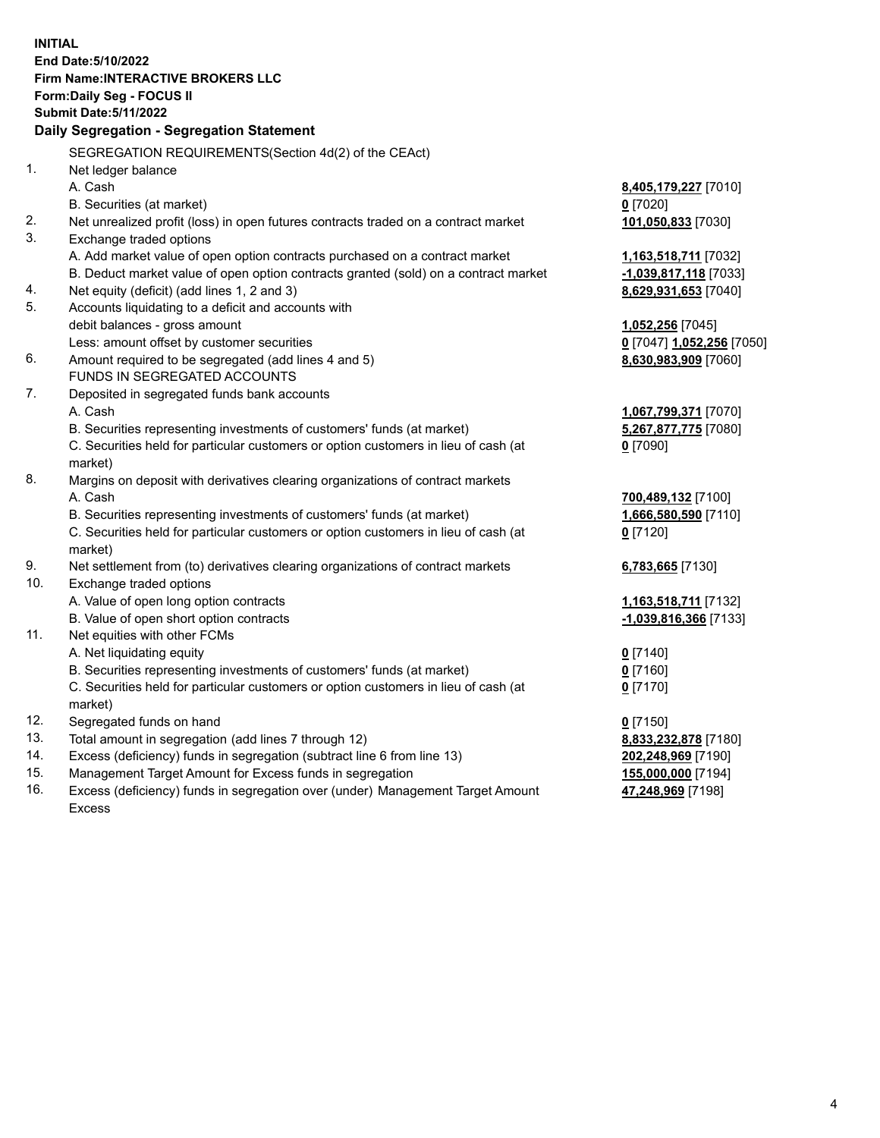**INITIAL End Date:5/10/2022 Firm Name:INTERACTIVE BROKERS LLC Form:Daily Seg - FOCUS II Submit Date:5/11/2022 Daily Segregation - Segregation Statement** SEGREGATION REQUIREMENTS(Section 4d(2) of the CEAct) 1. Net ledger balance A. Cash **8,405,179,227** [7010] B. Securities (at market) **0** [7020] 2. Net unrealized profit (loss) in open futures contracts traded on a contract market **101,050,833** [7030] 3. Exchange traded options A. Add market value of open option contracts purchased on a contract market **1,163,518,711** [7032] B. Deduct market value of open option contracts granted (sold) on a contract market **-1,039,817,118** [7033] 4. Net equity (deficit) (add lines 1, 2 and 3) **8,629,931,653** [7040] 5. Accounts liquidating to a deficit and accounts with debit balances - gross amount **1,052,256** [7045] Less: amount offset by customer securities **0** [7047] **1,052,256** [7050] 6. Amount required to be segregated (add lines 4 and 5) **8,630,983,909** [7060] FUNDS IN SEGREGATED ACCOUNTS 7. Deposited in segregated funds bank accounts A. Cash **1,067,799,371** [7070] B. Securities representing investments of customers' funds (at market) **5,267,877,775** [7080] C. Securities held for particular customers or option customers in lieu of cash (at market) **0** [7090] 8. Margins on deposit with derivatives clearing organizations of contract markets A. Cash **700,489,132** [7100] B. Securities representing investments of customers' funds (at market) **1,666,580,590** [7110] C. Securities held for particular customers or option customers in lieu of cash (at market) **0** [7120] 9. Net settlement from (to) derivatives clearing organizations of contract markets **6,783,665** [7130] 10. Exchange traded options A. Value of open long option contracts **1,163,518,711** [7132] B. Value of open short option contracts **-1,039,816,366** [7133] 11. Net equities with other FCMs A. Net liquidating equity **0** [7140] B. Securities representing investments of customers' funds (at market) **0** [7160] C. Securities held for particular customers or option customers in lieu of cash (at market) **0** [7170] 12. Segregated funds on hand **0** [7150] 13. Total amount in segregation (add lines 7 through 12) **8,833,232,878** [7180] 14. Excess (deficiency) funds in segregation (subtract line 6 from line 13) **202,248,969** [7190] 15. Management Target Amount for Excess funds in segregation **155,000,000** [7194] **47,248,969** [7198]

16. Excess (deficiency) funds in segregation over (under) Management Target Amount Excess